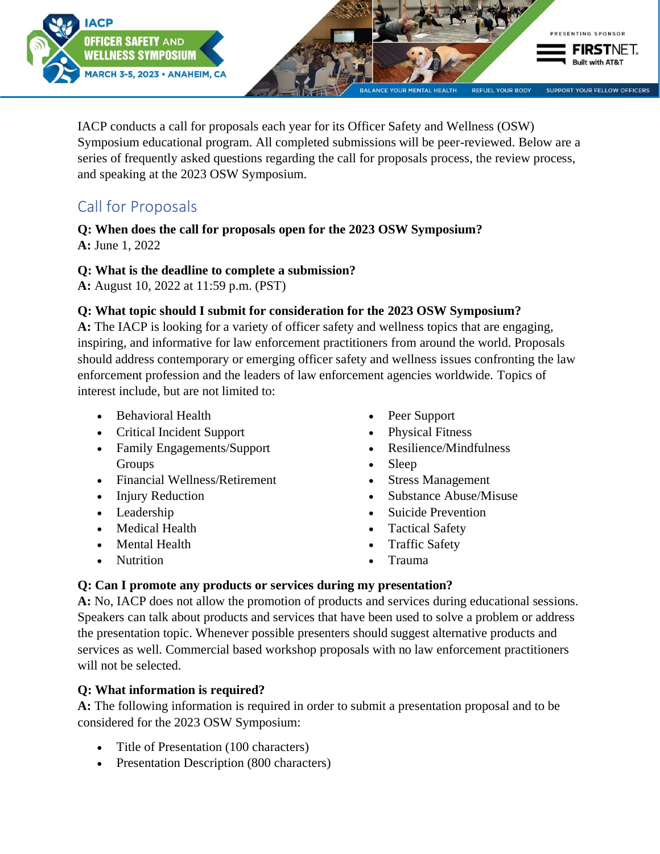

IACP conducts a call for proposals each year for its Officer Safety and Wellness (OSW) Symposium educational program. All completed submissions will be peer-reviewed. Below are a series of frequently asked questions regarding the call for proposals process, the review process, and speaking at the 2023 OSW Symposium.

# Call for Proposals

**Q: When does the call for proposals open for the 2023 OSW Symposium? A:** June 1, 2022

#### **Q: What is the deadline to complete a submission?**

**A:** August 10, 2022 at 11:59 p.m. (PST)

# **Q: What topic should I submit for consideration for the 2023 OSW Symposium?**

**A:** The IACP is looking for a variety of officer safety and wellness topics that are engaging, inspiring, and informative for law enforcement practitioners from around the world. Proposals should address contemporary or emerging officer safety and wellness issues confronting the law enforcement profession and the leaders of law enforcement agencies worldwide. Topics of interest include, but are not limited to:

- Behavioral Health
- Critical Incident Support
- Family Engagements/Support **Groups**
- Financial Wellness/Retirement
- Injury Reduction
- Leadership
- Medical Health
- Mental Health
- Nutrition
- Peer Support
- Physical Fitness
- Resilience/Mindfulness
- Sleep
- **Stress Management**
- Substance Abuse/Misuse
- Suicide Prevention
- **Tactical Safety**
- Traffic Safety
- Trauma

# **Q: Can I promote any products or services during my presentation?**

**A:** No, IACP does not allow the promotion of products and services during educational sessions. Speakers can talk about products and services that have been used to solve a problem or address the presentation topic. Whenever possible presenters should suggest alternative products and services as well. Commercial based workshop proposals with no law enforcement practitioners will not be selected.

# **Q: What information is required?**

**A:** The following information is required in order to submit a presentation proposal and to be considered for the 2023 OSW Symposium:

- Title of Presentation (100 characters)
- Presentation Description (800 characters)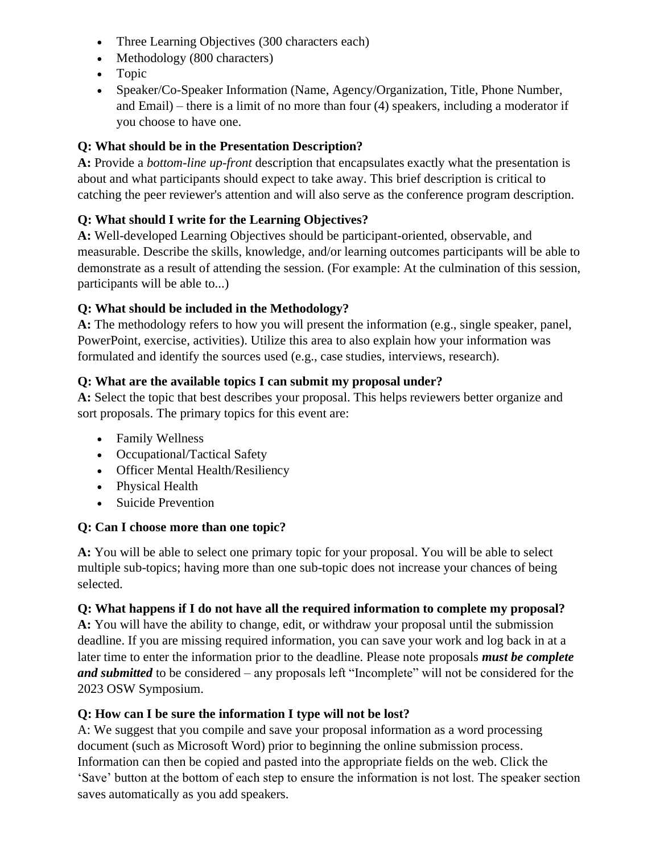- Three Learning Objectives (300 characters each)
- Methodology (800 characters)
- Topic
- Speaker/Co-Speaker Information (Name, Agency/Organization, Title, Phone Number, and Email) – there is a limit of no more than four (4) speakers, including a moderator if you choose to have one.

# **Q: What should be in the Presentation Description?**

**A:** Provide a *bottom-line up-front* description that encapsulates exactly what the presentation is about and what participants should expect to take away. This brief description is critical to catching the peer reviewer's attention and will also serve as the conference program description.

# **Q: What should I write for the Learning Objectives?**

**A:** Well-developed Learning Objectives should be participant-oriented, observable, and measurable. Describe the skills, knowledge, and/or learning outcomes participants will be able to demonstrate as a result of attending the session. (For example: At the culmination of this session, participants will be able to...)

# **Q: What should be included in the Methodology?**

**A:** The methodology refers to how you will present the information (e.g., single speaker, panel, PowerPoint, exercise, activities). Utilize this area to also explain how your information was formulated and identify the sources used (e.g., case studies, interviews, research).

# **Q: What are the available topics I can submit my proposal under?**

**A:** Select the topic that best describes your proposal. This helps reviewers better organize and sort proposals. The primary topics for this event are:

- Family Wellness
- Occupational/Tactical Safety
- Officer Mental Health/Resiliency
- Physical Health
- Suicide Prevention

# **Q: Can I choose more than one topic?**

**A:** You will be able to select one primary topic for your proposal. You will be able to select multiple sub-topics; having more than one sub-topic does not increase your chances of being selected.

# **Q: What happens if I do not have all the required information to complete my proposal?**

**A:** You will have the ability to change, edit, or withdraw your proposal until the submission deadline. If you are missing required information, you can save your work and log back in at a later time to enter the information prior to the deadline. Please note proposals *must be complete and submitted* to be considered – any proposals left "Incomplete" will not be considered for the 2023 OSW Symposium.

# **Q: How can I be sure the information I type will not be lost?**

A: We suggest that you compile and save your proposal information as a word processing document (such as Microsoft Word) prior to beginning the online submission process. Information can then be copied and pasted into the appropriate fields on the web. Click the 'Save' button at the bottom of each step to ensure the information is not lost. The speaker section saves automatically as you add speakers.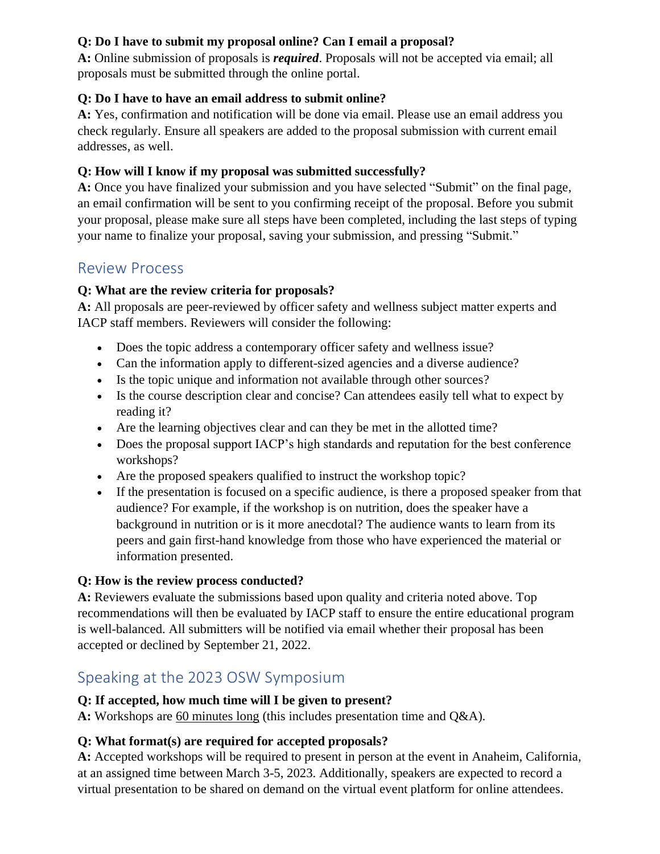# **Q: Do I have to submit my proposal online? Can I email a proposal?**

**A:** Online submission of proposals is *required*. Proposals will not be accepted via email; all proposals must be submitted through the online portal.

# **Q: Do I have to have an email address to submit online?**

**A:** Yes, confirmation and notification will be done via email. Please use an email address you check regularly. Ensure all speakers are added to the proposal submission with current email addresses, as well.

# **Q: How will I know if my proposal was submitted successfully?**

**A:** Once you have finalized your submission and you have selected "Submit" on the final page, an email confirmation will be sent to you confirming receipt of the proposal. Before you submit your proposal, please make sure all steps have been completed, including the last steps of typing your name to finalize your proposal, saving your submission, and pressing "Submit."

# Review Process

# **Q: What are the review criteria for proposals?**

**A:** All proposals are peer-reviewed by officer safety and wellness subject matter experts and IACP staff members. Reviewers will consider the following:

- Does the topic address a contemporary officer safety and wellness issue?
- Can the information apply to different-sized agencies and a diverse audience?
- Is the topic unique and information not available through other sources?
- Is the course description clear and concise? Can attendees easily tell what to expect by reading it?
- Are the learning objectives clear and can they be met in the allotted time?
- Does the proposal support IACP's high standards and reputation for the best conference workshops?
- Are the proposed speakers qualified to instruct the workshop topic?
- If the presentation is focused on a specific audience, is there a proposed speaker from that audience? For example, if the workshop is on nutrition, does the speaker have a background in nutrition or is it more anecdotal? The audience wants to learn from its peers and gain first-hand knowledge from those who have experienced the material or information presented.

# **Q: How is the review process conducted?**

**A:** Reviewers evaluate the submissions based upon quality and criteria noted above. Top recommendations will then be evaluated by IACP staff to ensure the entire educational program is well-balanced. All submitters will be notified via email whether their proposal has been accepted or declined by September 21, 2022.

# Speaking at the 2023 OSW Symposium

# **Q: If accepted, how much time will I be given to present?**

**A:** Workshops are 60 minutes long (this includes presentation time and Q&A).

# **Q: What format(s) are required for accepted proposals?**

**A:** Accepted workshops will be required to present in person at the event in Anaheim, California, at an assigned time between March 3-5, 2023. Additionally, speakers are expected to record a virtual presentation to be shared on demand on the virtual event platform for online attendees.